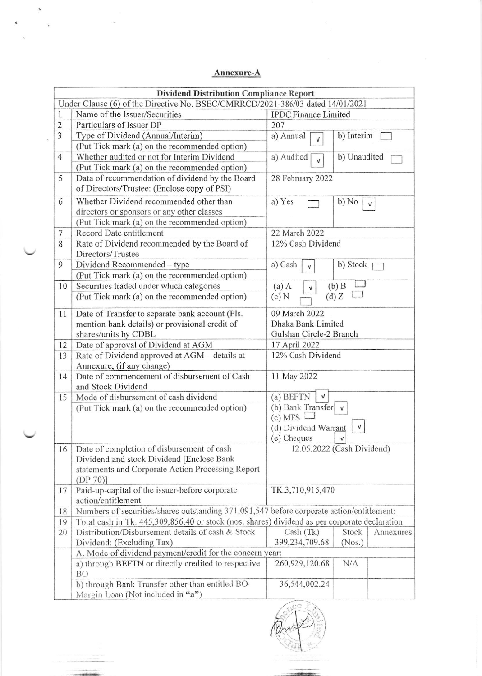## Annexure-A

i,

 $\ddot{\phantom{1}}$ 

 $\bar{a}$ 

 $\tilde{\mathbf{G}}$ 

|                | <b>Dividend Distribution Compliance Report</b><br>Under Clause (6) of the Directive No. BSEC/CMRRCD/2021-386/03 dated 14/01/2021 |                                                   |  |  |
|----------------|----------------------------------------------------------------------------------------------------------------------------------|---------------------------------------------------|--|--|
| 1              | Name of the Issuer/Securities                                                                                                    | <b>IPDC Finance Limited</b>                       |  |  |
| $\overline{c}$ | Particulars of Issuer DP                                                                                                         | 207                                               |  |  |
| 3              | Type of Dividend (Annual/Interim)                                                                                                | b) Interim<br>a) Annual                           |  |  |
|                | (Put Tick mark (a) on the recommended option)                                                                                    |                                                   |  |  |
| 4              | Whether audited or not for Interim Dividend                                                                                      | b) Unaudited<br>a) Audited                        |  |  |
|                | (Put Tick mark (a) on the recommended option)                                                                                    |                                                   |  |  |
| 5              | Data of recommendation of dividend by the Board                                                                                  | 28 February 2022                                  |  |  |
|                | of Directors/Trustee: (Enclose copy of PSI)                                                                                      |                                                   |  |  |
| 6              | Whether Dividend recommended other than                                                                                          | a) Yes<br>b) No<br>$\sqrt{ }$                     |  |  |
|                | directors or sponsors or any other classes                                                                                       |                                                   |  |  |
|                | (Put Tick mark (a) on the recommended option)                                                                                    |                                                   |  |  |
| 7              | Record Date entitlement                                                                                                          | 22 March 2022                                     |  |  |
| 8              | Rate of Dividend recommended by the Board of                                                                                     | 12% Cash Dividend                                 |  |  |
|                | Directors/Trustee                                                                                                                |                                                   |  |  |
| 9              | Dividend Recommended - type                                                                                                      | b) Stock<br>a) Cash<br>V                          |  |  |
|                | (Put Tick mark (a) on the recommended option)                                                                                    |                                                   |  |  |
| 10             | Securities traded under which categories                                                                                         | $(b)$ B<br>$(a)$ A                                |  |  |
|                | (Put Tick mark (a) on the recommended option)                                                                                    | (c) N<br>(d)Z                                     |  |  |
| 11             | Date of Transfer to separate bank account (Pls.                                                                                  | 09 March 2022                                     |  |  |
|                | mention bank details) or provisional credit of                                                                                   | Dhaka Bank Limited                                |  |  |
|                | shares/units by CDBL                                                                                                             | Gulshan Circle-2 Branch                           |  |  |
| 12             | Date of approval of Dividend at AGM                                                                                              | 17 April 2022                                     |  |  |
| 13             | Rate of Dividend approved at AGM - details at                                                                                    | 12% Cash Dividend                                 |  |  |
|                | Annexure, (if any change)                                                                                                        |                                                   |  |  |
| 14             | Date of commencement of disbursement of Cash<br>and Stock Dividend                                                               | 11 May 2022                                       |  |  |
| 15             | Mode of disbursement of cash dividend                                                                                            | (a) BEFTN<br>V                                    |  |  |
|                | (Put Tick mark (a) on the recommended option)                                                                                    | (b) Bank Transfer $\sqrt{ }$                      |  |  |
|                |                                                                                                                                  | $(c)$ MFS                                         |  |  |
|                |                                                                                                                                  | (d) Dividend Warrant<br>(e) Cheques<br>$\sqrt{ }$ |  |  |
|                |                                                                                                                                  |                                                   |  |  |
| 16             | Date of completion of disbursement of cash                                                                                       | 12.05.2022 (Cash Dividend)                        |  |  |
|                | Dividend and stock Dividend [Enclose Bank                                                                                        |                                                   |  |  |
|                | statements and Corporate Action Processing Report                                                                                |                                                   |  |  |
|                | (DP 70)                                                                                                                          |                                                   |  |  |
| 17             | Paid-up-capital of the issuer-before corporate                                                                                   | TK.3,710,915,470                                  |  |  |
|                | action/entitlement                                                                                                               |                                                   |  |  |
| 18             | Numbers of securities/shares outstanding 371,091,547 before corporate action/entitlement:                                        |                                                   |  |  |
| 19             | Total cash in Tk. 445,309,856.40 or stock (nos. shares) dividend as per corporate declaration                                    |                                                   |  |  |
| 20             | Distribution/Disbursement details of cash & Stock                                                                                | Cash (Tk)<br>Stock<br>Annexures                   |  |  |
|                | Dividend: (Excluding Tax)                                                                                                        | 399,234,709.68<br>(Nos.)                          |  |  |
|                | A. Mode of dividend payment/credit for the concern year:                                                                         |                                                   |  |  |
|                | a) through BEFTN or directly credited to respective                                                                              | 260,929,120.68<br>N/A                             |  |  |
|                | <b>BO</b>                                                                                                                        |                                                   |  |  |
|                | b) through Bank Transfer other than entitled BO-                                                                                 | 36,544,002.24                                     |  |  |
|                | Margin Loan (Not included in "a")                                                                                                |                                                   |  |  |

 $\mathscr{L}$  $\ell^{\alpha}$ 

Į,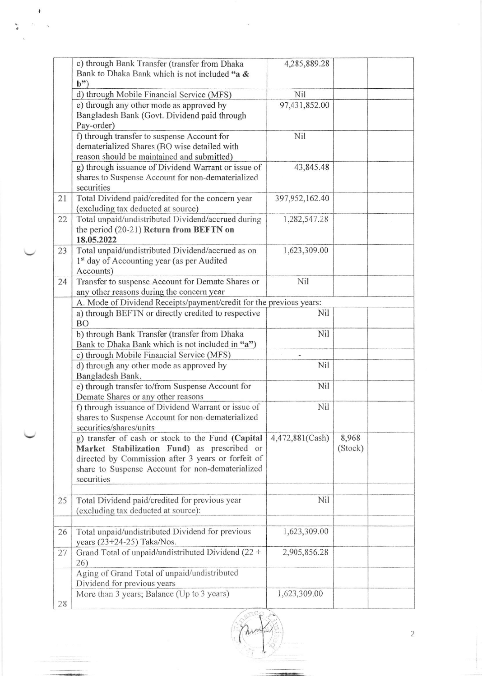|    | c) through Bank Transfer (transfer from Dhaka<br>Bank to Dhaka Bank which is not included "a &<br>$b^{33}$                                                                                                               | 4,285,889.28    |                  |  |  |  |
|----|--------------------------------------------------------------------------------------------------------------------------------------------------------------------------------------------------------------------------|-----------------|------------------|--|--|--|
|    | d) through Mobile Financial Service (MFS)                                                                                                                                                                                | Nil             |                  |  |  |  |
|    | e) through any other mode as approved by<br>Bangladesh Bank (Govt. Dividend paid through<br>Pay-order)                                                                                                                   | 97,431,852.00   |                  |  |  |  |
|    | f) through transfer to suspense Account for<br>dematerialized Shares (BO wise detailed with<br>reason should be maintained and submitted)                                                                                | Nil             |                  |  |  |  |
|    | g) through issuance of Dividend Warrant or issue of<br>shares to Suspense Account for non-dematerialized<br>securities                                                                                                   | 43,845.48       |                  |  |  |  |
| 21 | Total Dividend paid/credited for the concern year<br>(excluding tax deducted at source)                                                                                                                                  | 397,952,162.40  |                  |  |  |  |
| 22 | Total unpaid/undistributed Dividend/accrued during<br>the period (20-21) Return from BEFTN on<br>18.05.2022                                                                                                              | 1,282,547.28    |                  |  |  |  |
| 23 | Total unpaid/undistributed Dividend/accrued as on<br>1st day of Accounting year (as per Audited<br>Accounts)                                                                                                             | 1,623,309.00    |                  |  |  |  |
| 24 | Transfer to suspense Account for Demate Shares or<br>any other reasons during the concern year                                                                                                                           | Nil             |                  |  |  |  |
|    | A. Mode of Dividend Receipts/payment/credit for the previous years:                                                                                                                                                      |                 |                  |  |  |  |
|    | a) through BEFTN or directly credited to respective<br><b>BO</b>                                                                                                                                                         | Nil             |                  |  |  |  |
|    | b) through Bank Transfer (transfer from Dhaka<br>Bank to Dhaka Bank which is not included in "a")                                                                                                                        | Nil             |                  |  |  |  |
|    | c) through Mobile Financial Service (MFS)                                                                                                                                                                                |                 |                  |  |  |  |
|    | d) through any other mode as approved by<br>Bangladesh Bank.                                                                                                                                                             | Nil             |                  |  |  |  |
|    | e) through transfer to/from Suspense Account for<br>Demate Shares or any other reasons                                                                                                                                   | Nil             |                  |  |  |  |
|    | f) through issuance of Dividend Warrant or issue of<br>shares to Suspense Account for non-dematerialized<br>securities/shares/units                                                                                      | Nil             |                  |  |  |  |
|    | g) transfer of cash or stock to the Fund (Capital<br>Market Stabilization Fund) as prescribed or<br>directed by Commission after 3 years or forfeit of<br>share to Suspense Account for non-dematerialized<br>securities | 4,472,881(Cash) | 8,968<br>(Stock) |  |  |  |
| 25 | Total Dividend paid/credited for previous year<br>(excluding tax deducted at source):                                                                                                                                    | Nil             |                  |  |  |  |
| 26 | Total unpaid/undistributed Dividend for previous<br>years (23+24-25) Taka/Nos.                                                                                                                                           | 1,623,309.00    |                  |  |  |  |
| 27 | Grand Total of unpaid/undistributed Dividend (22 +<br>26)                                                                                                                                                                | 2,905,856.28    |                  |  |  |  |
|    | Aging of Grand Total of unpaid/undistributed<br>Dividend for previous years                                                                                                                                              |                 |                  |  |  |  |
| 28 | More than 3 years; Balance (Up to 3 years)                                                                                                                                                                               | 1,623,309.00    |                  |  |  |  |

I

mont